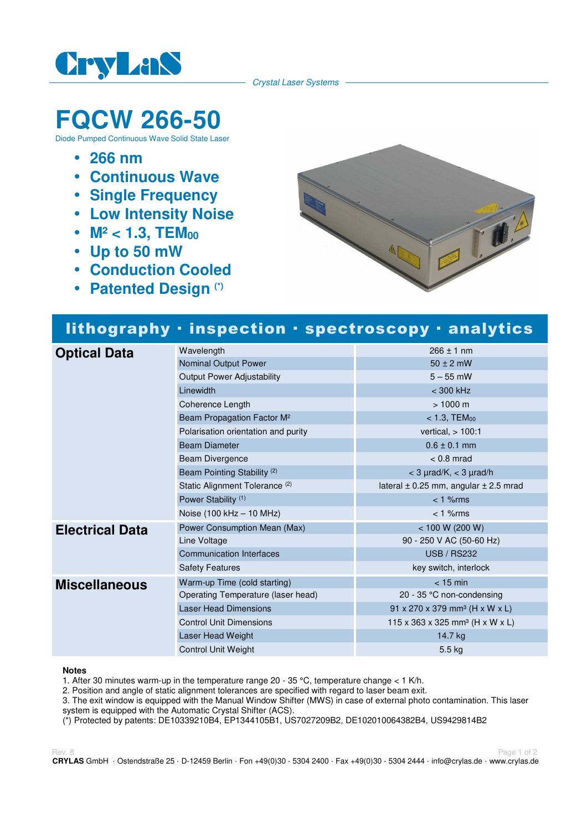

Crystal Laser Systems

# **FQCW 266-50**

Diode Pumped Continuous Wave Solid State Laser

- **266 nm**
- **Continuous Wave**
- **Single Frequency**
- **Low Intensity Noise**
- M<sup>2</sup> < 1.3, TEM<sub>00</sub>
- **Up to 50 mW**
- **Conduction Cooled**
- **Patented Design (\*)**



## lithography · inspection · spectroscopy · analytics

| <b>Optical Data</b>    | Wavelength                                | $266 \pm 1$ nm                                |
|------------------------|-------------------------------------------|-----------------------------------------------|
|                        | Nominal Output Power                      | $50 \pm 2$ mW                                 |
|                        | <b>Output Power Adjustability</b>         | $5 - 55$ mW                                   |
|                        | Linewidth                                 | < 300 kHz                                     |
|                        | Coherence Length                          | $> 1000 \text{ m}$                            |
|                        | Beam Propagation Factor M <sup>2</sup>    | $< 1.3,$ TEM $_{00}$                          |
|                        | Polarisation orientation and purity       | vertical, $> 100:1$                           |
|                        | <b>Beam Diameter</b>                      | $0.6 \pm 0.1$ mm                              |
|                        | Beam Divergence                           | $< 0.8$ mrad                                  |
|                        | Beam Pointing Stability <sup>(2)</sup>    | $<$ 3 $\mu$ rad/K, $<$ 3 $\mu$ rad/h          |
|                        | Static Alignment Tolerance <sup>(2)</sup> | lateral $\pm$ 0.25 mm, angular $\pm$ 2.5 mrad |
|                        | Power Stability <sup>(1)</sup>            | $< 1$ % $rms$                                 |
|                        | Noise (100 kHz - 10 MHz)                  | $< 1$ % $rms$                                 |
| <b>Electrical Data</b> | Power Consumption Mean (Max)              | < 100 W (200 W)                               |
|                        | Line Voltage                              | 90 - 250 V AC (50-60 Hz)                      |
|                        | <b>Communication Interfaces</b>           | <b>USB / RS232</b>                            |
|                        | <b>Safety Features</b>                    | key switch, interlock                         |
| <b>Miscellaneous</b>   | Warm-up Time (cold starting)              | $<$ 15 min                                    |
|                        | Operating Temperature (laser head)        | 20 - 35 $\degree$ C non-condensing            |
|                        | <b>Laser Head Dimensions</b>              | 91 x 270 x 379 mm <sup>3</sup> (H x W x L)    |
|                        | <b>Control Unit Dimensions</b>            | 115 x 363 x 325 mm <sup>3</sup> (H x W x L)   |
|                        | Laser Head Weight                         | 14.7 kg                                       |
|                        | <b>Control Unit Weight</b>                | $5.5$ kg                                      |

#### **Notes**

1. After 30 minutes warm-up in the temperature range 20 - 35 °C, temperature change  $<$  1 K/h.

2. Position and angle of static alignment tolerances are specified with regard to laser beam exit.

3. The exit window is equipped with the Manual Window Shifter (MWS) in case of external photo contamination. This laser system is equipped with the Automatic Crystal Shifter (ACS).

(\*) Protected by patents: DE10339210B4, EP1344105B1, US7027209B2, DE102010064382B4, US9429814B2

Rev. 8 Page 1 of 2 **CRYLAS** GmbH · Ostendstraße 25 · D-12459 Berlin · Fon +49(0)30 - 5304 2400 · Fax +49(0)30 - 5304 2444 · info@crylas.de · www.crylas.de